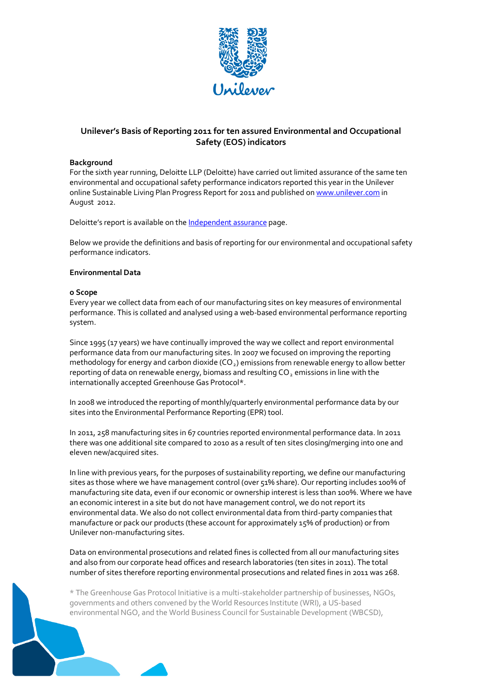

# **Unilever's Basis of Reporting 2011 for ten assured Environmental and Occupational Safety (EOS) indicators**

#### **Background**

For the sixth year running, Deloitte LLP (Deloitte) have carried out limited assurance of the same ten environmental and occupational safety performance indicators reported this year in the Unilever online Sustainable Living Plan Progress Report for 2011 and published o[n www.unilever.com](http://www.unilever.com/) in August 2012.

Deloitte's report is available on the [Independent assurance](http://www.unilever.com/sustainable-living/assurancedataandcommentary/assurance/) page.

Below we provide the definitions and basis of reporting for our environmental and occupational safety performance indicators.

#### **Environmental Data**

#### **o Scope**

Every year we collect data from each of our manufacturing sites on key measures of environmental performance. This is collated and analysed using a web‐based environmental performance reporting system.

Since 1995 (17 years) we have continually improved the way we collect and report environmental performance data from our manufacturing sites. In 2007 we focused on improving the reporting methodology for energy and carbon dioxide (CO<sub>2</sub>) emissions from renewable energy to allow better reporting of data on renewable energy, biomass and resulting CO<sub>2</sub> emissions in line with the internationally accepted Greenhouse Gas Protocol\*.

In 2008 we introduced the reporting of monthly/quarterly environmental performance data by our sites into the Environmental Performance Reporting (EPR) tool.

In 2011, 258 manufacturing sites in 67 countries reported environmental performance data. In 2011 there was one additional site compared to 2010 as a result of ten sites closing/merging into one and eleven new/acquired sites.

In line with previous years, for the purposes of sustainability reporting, we define our manufacturing sites as those where we have management control (over 51% share). Our reporting includes 100% of manufacturing site data, even if our economic or ownership interest is less than 100%. Where we have an economic interest in a site but do not have management control, we do not report its environmental data. We also do not collect environmental data from third‐party companies that manufacture or pack our products (these account for approximately 15% of production) or from Unilever non‐manufacturing sites.

Data on environmental prosecutions and related fines is collected from all our manufacturing sites and also from our corporate head offices and research laboratories (ten sites in 2011). The total number of sites therefore reporting environmental prosecutions and related fines in 2011 was 268.

\* The Greenhouse Gas Protocol Initiative is a multi‐stakeholder partnership of businesses, NGOs, governments and others convened by the World Resources Institute (WRI), a US‐based environmental NGO, and the World Business Council for Sustainable Development (WBCSD),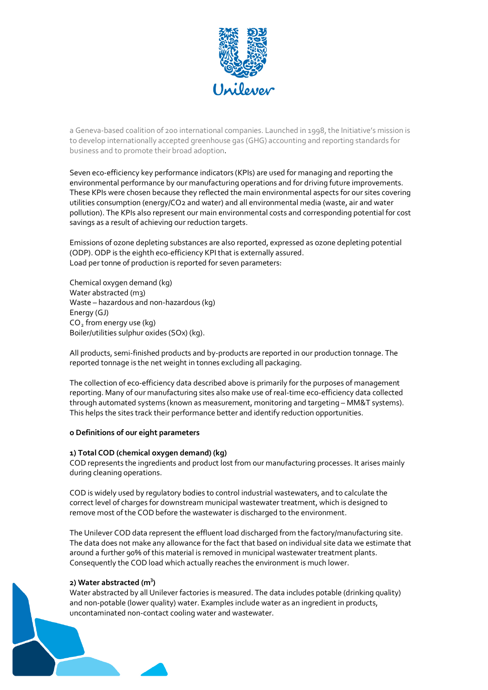

a Geneva‐based coalition of 200 international companies. Launched in 1998, the Initiative's mission is to develop internationally accepted greenhouse gas (GHG) accounting and reporting standards for business and to promote their broad adoption.

Seven eco-efficiency key performance indicators (KPIs) are used for managing and reporting the environmental performance by our manufacturing operations and for driving future improvements. These KPIs were chosen because they reflected the main environmental aspects for our sites covering utilities consumption (energy/CO2 and water) and all environmental media (waste, air and water pollution). The KPIs also represent our main environmental costs and corresponding potential for cost savings as a result of achieving our reduction targets.

Emissions of ozone depleting substances are also reported, expressed as ozone depleting potential (ODP). ODP is the eighth eco-efficiency KPI that is externally assured. Load per tonne of production is reported for seven parameters:

Chemical oxygen demand (kg) Water abstracted (m3) Waste – hazardous and non‐hazardous (kg) Energy (GJ)  $CO<sub>2</sub>$  from energy use (kg) Boiler/utilities sulphur oxides (SOx) (kg).

All products, semi-finished products and by-products are reported in our production tonnage. The reported tonnage is the net weight in tonnes excluding all packaging.

The collection of eco-efficiency data described above is primarily for the purposes of management reporting. Many of our manufacturing sites also make use of real-time eco-efficiency data collected through automated systems (known as measurement, monitoring and targeting – MM&T systems). This helps the sites track their performance better and identify reduction opportunities.

#### **o Definitions of our eight parameters**

## **1) Total COD (chemical oxygen demand) (kg)**

COD represents the ingredients and product lost from our manufacturing processes. It arises mainly during cleaning operations.

COD is widely used by regulatory bodies to control industrial wastewaters, and to calculate the correct level of charges for downstream municipal wastewater treatment, which is designed to remove most of the COD before the wastewater is discharged to the environment.

The Unilever COD data represent the effluent load discharged from the factory/manufacturing site. The data does not make any allowance for the fact that based on individual site data we estimate that around a further 90% of this material is removed in municipal wastewater treatment plants. Consequently the COD load which actually reaches the environment is much lower.

## **2) Water abstracted (m3 )**

Water abstracted by all Unilever factories is measured. The data includes potable (drinking quality) and non-potable (lower quality) water. Examples include water as an ingredient in products, uncontaminated non‐contact cooling water and wastewater.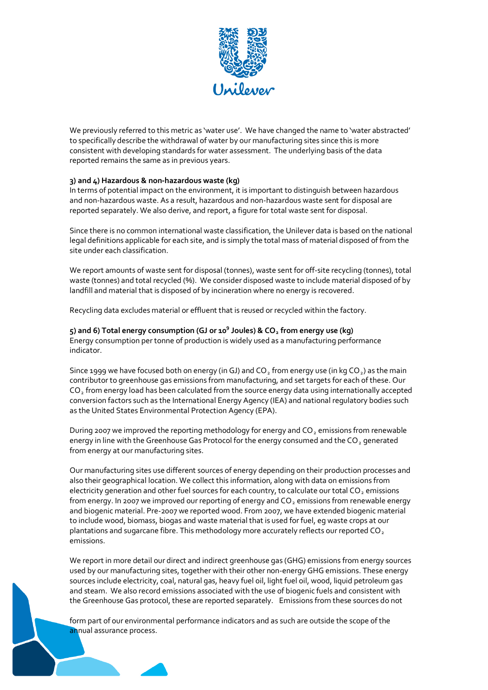

We previously referred to this metric as 'water use'. We have changed the name to 'water abstracted' to specifically describe the withdrawal of water by our manufacturing sites since this is more consistent with developing standards for water assessment. The underlying basis of the data reported remains the same as in previous years.

## **3) and 4) Hazardous & non**‐**hazardous waste (kg)**

In terms of potential impact on the environment, it is important to distinguish between hazardous and non-hazardous waste. As a result, hazardous and non-hazardous waste sent for disposal are reported separately. We also derive, and report, a figure for total waste sent for disposal.

Since there is no common international waste classification, the Unilever data is based on the national legal definitions applicable for each site, and is simply the total mass of material disposed of from the site under each classification.

We report amounts of waste sent for disposal (tonnes), waste sent for off-site recycling (tonnes), total waste (tonnes) and total recycled (%). We consider disposed waste to include material disposed of by landfill and material that is disposed of by incineration where no energy is recovered.

Recycling data excludes material or effluent that is reused or recycled within the factory.

**5) and 6) Total energy consumption (GJ or 109 Joules) & CO2 from energy use (kg)** Energy consumption per tonne of production is widely used as a manufacturing performance indicator.

Since 1999 we have focused both on energy (in GJ) and  $CO<sub>2</sub>$  from energy use (in kg  $CO<sub>2</sub>$ ) as the main contributor to greenhouse gas emissions from manufacturing, and set targets for each of these. Our CO<sub>2</sub> from energy load has been calculated from the source energy data using internationally accepted conversion factors such as the International Energy Agency (IEA) and national regulatory bodies such as the United States Environmental Protection Agency (EPA).

During 2007 we improved the reporting methodology for energy and  $CO<sub>2</sub>$  emissions from renewable energy in line with the Greenhouse Gas Protocol for the energy consumed and the  $CO<sub>2</sub>$  generated from energy at our manufacturing sites.

Our manufacturing sites use different sources of energy depending on their production processes and also their geographical location. We collect this information, along with data on emissions from electricity generation and other fuel sources for each country, to calculate our total  $CO<sub>2</sub>$  emissions from energy. In 2007 we improved our reporting of energy and CO<sub>2</sub> emissions from renewable energy and biogenic material. Pre‐2007 we reported wood. From 2007, we have extended biogenic material to include wood, biomass, biogas and waste material that is used for fuel, eg waste crops at our plantations and sugarcane fibre. This methodology more accurately reflects our reported CO<sub>2</sub> emissions.

We report in more detail our direct and indirect greenhouse gas (GHG) emissions from energy sources used by our manufacturing sites, together with their other non‐energy GHG emissions. These energy sources include electricity, coal, natural gas, heavy fuel oil, light fuel oil, wood, liquid petroleum gas and steam. We also record emissions associated with the use of biogenic fuels and consistent with the Greenhouse Gas protocol, these are reported separately. Emissions from these sources do not

form part of our environmental performance indicators and as such are outside the scope of the annual assurance process.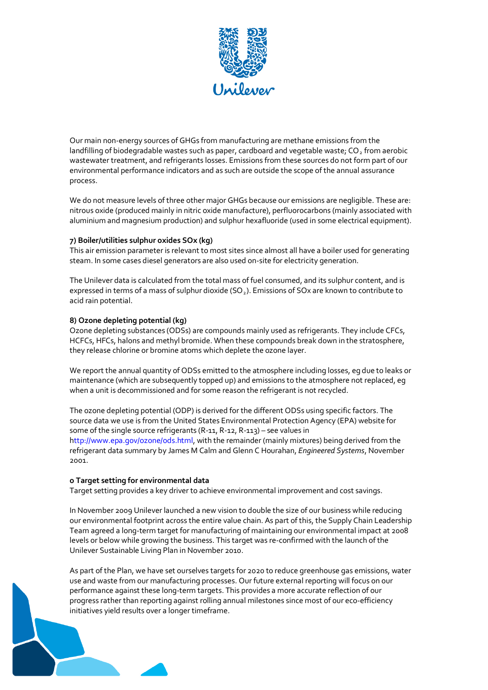

Our main non‐energy sources of GHGs from manufacturing are methane emissions from the landfilling of biodegradable wastes such as paper, cardboard and vegetable waste; CO<sub>2</sub> from aerobic wastewater treatment, and refrigerants losses. Emissions from these sources do not form part of our environmental performance indicators and as such are outside the scope of the annual assurance process.

We do not measure levels of three other major GHGs because our emissions are negligible. These are: nitrous oxide (produced mainly in nitric oxide manufacture), perfluorocarbons (mainly associated with aluminium and magnesium production) and sulphur hexafluoride (used in some electrical equipment).

## **7) Boiler/utilities sulphur oxides SOx (kg)**

This air emission parameter is relevant to most sites since almost all have a boiler used for generating steam. In some cases diesel generators are also used on‐site for electricity generation.

The Unilever data is calculated from the total mass of fuel consumed, and its sulphur content, and is expressed in terms of a mass of sulphur dioxide ( $SO<sub>2</sub>$ ). Emissions of SOx are known to contribute to acid rain potential.

#### **8) Ozone depleting potential (kg)**

Ozone depleting substances (ODSs) are compounds mainly used as refrigerants. They include CFCs, HCFCs, HFCs, halons and methyl bromide. When these compounds break down in the stratosphere, they release chlorine or bromine atoms which deplete the ozone layer.

We report the annual quantity of ODSs emitted to the atmosphere including losses, eg due to leaks or maintenance (which are subsequently topped up) and emissions to the atmosphere not replaced, eg when a unit is decommissioned and for some reason the refrigerant is not recycled.

The ozone depleting potential (ODP) is derived for the different ODSs using specific factors. The source data we use is from the United States Environmental Protection Agency (EPA) website for some of the single source refrigerants (R-11, R-12, R-113) – see values in http://www.epa.gov/ozone/ods.html, with the remainder (mainly mixtures) being derived from the refrigerant data summary by James M Calm and Glenn C Hourahan, *Engineered Systems*, November 2001.

## **o Target setting for environmental data**

Target setting provides a key driver to achieve environmental improvement and cost savings.

In November 2009 Unilever launched a new vision to double the size of our business while reducing our environmental footprint across the entire value chain. As part of this, the Supply Chain Leadership Team agreed a long‐term target for manufacturing of maintaining our environmental impact at 2008 levels or below while growing the business. This target was re‐confirmed with the launch of the Unilever Sustainable Living Plan in November 2010.

As part of the Plan, we have set ourselves targets for 2020 to reduce greenhouse gas emissions, water use and waste from our manufacturing processes. Our future external reporting will focus on our performance against these long‐term targets. This provides a more accurate reflection of our progress rather than reporting against rolling annual milestones since most of our eco‐efficiency initiatives yield results over a longer timeframe.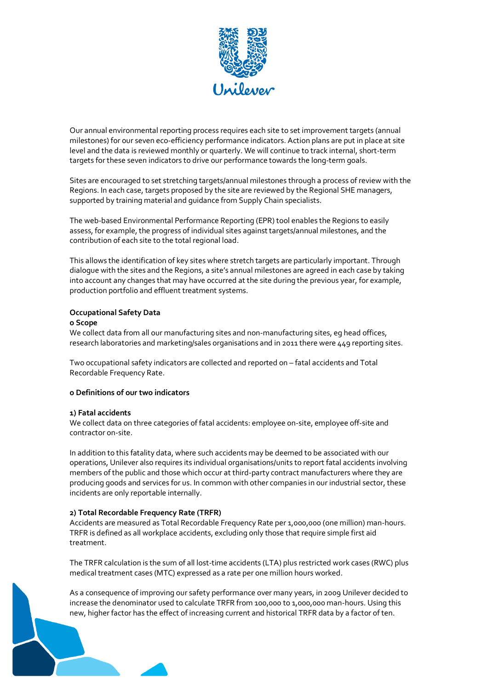

Our annual environmental reporting process requires each site to set improvement targets (annual milestones) for our seven eco‐efficiency performance indicators. Action plans are put in place at site level and the data is reviewed monthly or quarterly. We will continue to track internal, short‐term targets for these seven indicators to drive our performance towards the long-term goals.

Sites are encouraged to set stretching targets/annual milestones through a process of review with the Regions. In each case, targets proposed by the site are reviewed by the Regional SHE managers, supported by training material and guidance from Supply Chain specialists.

The web‐based Environmental Performance Reporting (EPR) tool enables the Regions to easily assess, for example, the progress of individual sites against targets/annual milestones, and the contribution of each site to the total regional load.

This allows the identification of key sites where stretch targets are particularly important. Through dialogue with the sites and the Regions, a site's annual milestones are agreed in each case by taking into account any changes that may have occurred at the site during the previous year, for example, production portfolio and effluent treatment systems.

## **Occupational Safety Data**

#### **o Scope**

We collect data from all our manufacturing sites and non-manufacturing sites, eg head offices, research laboratories and marketing/sales organisations and in 2011 there were 449 reporting sites.

Two occupational safety indicators are collected and reported on – fatal accidents and Total Recordable Frequency Rate.

## **o Definitions of our two indicators**

#### **1) Fatal accidents**

We collect data on three categories of fatal accidents: employee on‐site, employee off‐site and contractor on‐site.

In addition to this fatality data, where such accidents may be deemed to be associated with our operations, Unilever also requires its individual organisations/units to report fatal accidents involving members of the public and those which occur at third‐party contract manufacturers where they are producing goods and services for us. In common with other companies in our industrial sector, these incidents are only reportable internally.

## **2) Total Recordable Frequency Rate (TRFR)**

Accidents are measured as Total Recordable Frequency Rate per 1,000,000 (one million) man‐hours. TRFR is defined as all workplace accidents, excluding only those that require simple first aid treatment.

The TRFR calculation is the sum of all lost-time accidents (LTA) plus restricted work cases (RWC) plus medical treatment cases (MTC) expressed as a rate per one million hours worked.

As a consequence of improving our safety performance over many years, in 2009 Unilever decided to increase the denominator used to calculate TRFR from 100,000 to 1,000,000 man-hours. Using this new, higher factor has the effect of increasing current and historical TRFR data by a factor of ten.